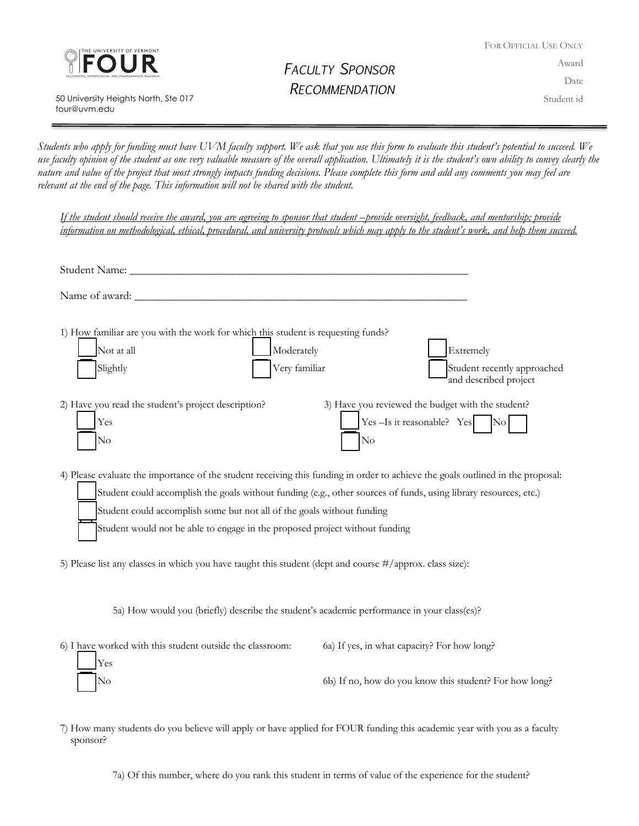

 50 University Heights North, Ste 017 four@uvm.edu

## *FACULTY SPONSOR RECOMMENDATION*

FOR OFFICIAL USE ONLY Award Date Student id

*Students who apply for funding must have UVM faculty support. We ask that you use this form to evaluate this student's potential to succeed. We use faculty opinion of the student as one very valuable measure of the overall application. Ultimately it is the student's own ability to convey clearly the nature and value of the project that most strongly impacts funding decisions. Please complete this form and add any comments you may feel are relevant at the end of the page. This information will not be shared with the student.* 

*If the student should receive the award, you are agreeing to sponsor that student –provide oversight, feedback, and mentorship; provide information on methodological, ethical, procedural, and university protocols which may apply to the student's work, and help them succeed.*

| 1) How familiar are you with the work for which this student is requesting funds?<br>Not at all<br>Moderately<br>Extremely<br>Slightly<br>Very familiar<br>Student recently approached<br>and described project |  |  |
|-----------------------------------------------------------------------------------------------------------------------------------------------------------------------------------------------------------------|--|--|
| 3) Have you reviewed the budget with the student?<br>2) Have you read the student's project description?<br>Yes-Is it reasonable? Yes<br>$\overline{\text{No}}$<br>Yes<br>$\rm No$<br>$\rm No$                  |  |  |
| 4) Please evaluate the importance of the student receiving this funding in order to achieve the goals outlined in the proposal:                                                                                 |  |  |
| Student could accomplish the goals without funding (e.g., other sources of funds, using library resources, etc.)                                                                                                |  |  |
| Student could accomplish some but not all of the goals without funding                                                                                                                                          |  |  |
| Student would not be able to engage in the proposed project without funding                                                                                                                                     |  |  |
| 5) Please list any classes in which you have taught this student (dept and course #/approx. class size):                                                                                                        |  |  |
| 5a) How would you (briefly) describe the student's academic performance in your class(es)?                                                                                                                      |  |  |

| 6) I have worked with this student outside the classroom: | 6a) If yes, in what capacity? For how long?            |
|-----------------------------------------------------------|--------------------------------------------------------|
| <b>Yes</b>                                                |                                                        |
| $\overline{\phantom{1}}$ No                               | 6b) If no, how do you know this student? For how long? |

7) How many students do you believe will apply or have applied for FOUR funding this academic year with you as a faculty sponsor?

7a) Of this number, where do you rank this student in terms of value of the experience for the student?